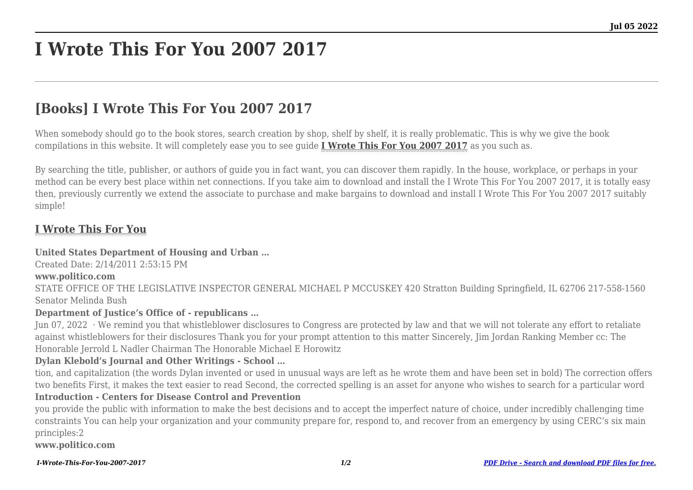# **I Wrote This For You 2007 2017**

# **[Books] I Wrote This For You 2007 2017**

When somebody should go to the book stores, search creation by shop, shelf by shelf, it is really problematic. This is why we give the book compilations in this website. It will completely ease you to see guide **[I Wrote This For You 2007 2017](http://goldwoodgardens.com)** as you such as.

By searching the title, publisher, or authors of guide you in fact want, you can discover them rapidly. In the house, workplace, or perhaps in your method can be every best place within net connections. If you take aim to download and install the I Wrote This For You 2007 2017, it is totally easy then, previously currently we extend the associate to purchase and make bargains to download and install I Wrote This For You 2007 2017 suitably simple!

# **[I Wrote This For You](http://goldwoodgardens.com/I-Wrote-This-For-You-2007-2017.pdf)**

#### **United States Department of Housing and Urban …**

Created Date: 2/14/2011 2:53:15 PM

#### **www.politico.com**

STATE OFFICE OF THE LEGISLATIVE INSPECTOR GENERAL MICHAEL P MCCUSKEY 420 Stratton Building Springfield, IL 62706 217-558-1560 Senator Melinda Bush

#### **Department of Justice's Office of - republicans …**

Jun 07, 2022 · We remind you that whistleblower disclosures to Congress are protected by law and that we will not tolerate any effort to retaliate against whistleblowers for their disclosures Thank you for your prompt attention to this matter Sincerely, Jim Jordan Ranking Member cc: The Honorable Jerrold L Nadler Chairman The Honorable Michael E Horowitz

#### **Dylan Klebold's Journal and Other Writings - School …**

tion, and capitalization (the words Dylan invented or used in unusual ways are left as he wrote them and have been set in bold) The correction offers two benefits First, it makes the text easier to read Second, the corrected spelling is an asset for anyone who wishes to search for a particular word

#### **Introduction - Centers for Disease Control and Prevention**

you provide the public with information to make the best decisions and to accept the imperfect nature of choice, under incredibly challenging time constraints You can help your organization and your community prepare for, respond to, and recover from an emergency by using CERC's six main principles:2

**www.politico.com**